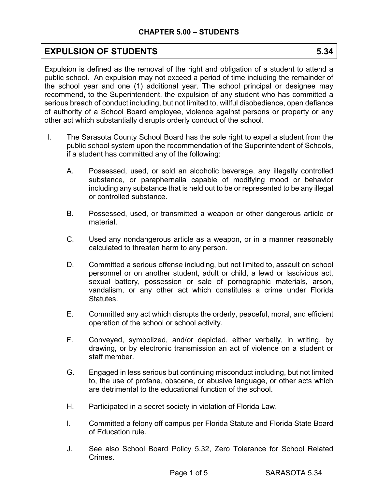# **EXPULSION OF STUDENTS** 5.34

Expulsion is defined as the removal of the right and obligation of a student to attend a public school. An expulsion may not exceed a period of time including the remainder of the school year and one (1) additional year. The school principal or designee may recommend, to the Superintendent, the expulsion of any student who has committed a serious breach of conduct including, but not limited to, willful disobedience, open defiance of authority of a School Board employee, violence against persons or property or any other act which substantially disrupts orderly conduct of the school.

- I. The Sarasota County School Board has the sole right to expel a student from the public school system upon the recommendation of the Superintendent of Schools, if a student has committed any of the following:
	- A. Possessed, used, or sold an alcoholic beverage, any illegally controlled substance, or paraphernalia capable of modifying mood or behavior including any substance that is held out to be or represented to be any illegal or controlled substance.
	- B. Possessed, used, or transmitted a weapon or other dangerous article or material.
	- C. Used any nondangerous article as a weapon, or in a manner reasonably calculated to threaten harm to any person.
	- D. Committed a serious offense including, but not limited to, assault on school personnel or on another student, adult or child, a lewd or lascivious act, sexual battery, possession or sale of pornographic materials, arson, vandalism, or any other act which constitutes a crime under Florida Statutes.
	- E. Committed any act which disrupts the orderly, peaceful, moral, and efficient operation of the school or school activity.
	- F. Conveyed, symbolized, and/or depicted, either verbally, in writing, by drawing, or by electronic transmission an act of violence on a student or staff member.
	- G. Engaged in less serious but continuing misconduct including, but not limited to, the use of profane, obscene, or abusive language, or other acts which are detrimental to the educational function of the school.
	- H. Participated in a secret society in violation of Florida Law.
	- I. Committed a felony off campus per Florida Statute and Florida State Board of Education rule.
	- J. See also School Board Policy 5.32, Zero Tolerance for School Related **Crimes**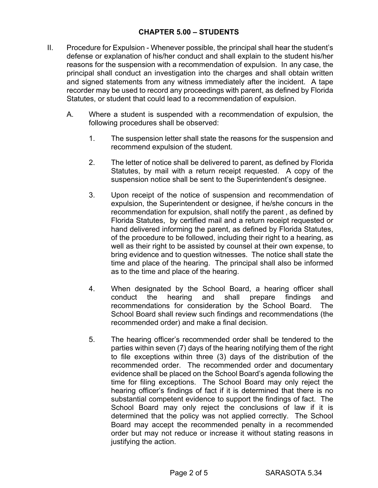- II. Procedure for Expulsion Whenever possible, the principal shall hear the student's defense or explanation of his/her conduct and shall explain to the student his/her reasons for the suspension with a recommendation of expulsion. In any case, the principal shall conduct an investigation into the charges and shall obtain written and signed statements from any witness immediately after the incident. A tape recorder may be used to record any proceedings with parent, as defined by Florida Statutes, or student that could lead to a recommendation of expulsion.
	- A. Where a student is suspended with a recommendation of expulsion, the following procedures shall be observed:
		- 1. The suspension letter shall state the reasons for the suspension and recommend expulsion of the student.
		- 2. The letter of notice shall be delivered to parent, as defined by Florida Statutes, by mail with a return receipt requested. A copy of the suspension notice shall be sent to the Superintendent's designee.
		- 3. Upon receipt of the notice of suspension and recommendation of expulsion, the Superintendent or designee, if he/she concurs in the recommendation for expulsion, shall notify the parent , as defined by Florida Statutes, by certified mail and a return receipt requested or hand delivered informing the parent, as defined by Florida Statutes, of the procedure to be followed, including their right to a hearing, as well as their right to be assisted by counsel at their own expense, to bring evidence and to question witnesses. The notice shall state the time and place of the hearing. The principal shall also be informed as to the time and place of the hearing.
		- 4. When designated by the School Board, a hearing officer shall conduct the hearing and shall prepare findings and recommendations for consideration by the School Board. The School Board shall review such findings and recommendations (the recommended order) and make a final decision.
		- 5. The hearing officer's recommended order shall be tendered to the parties within seven (7) days of the hearing notifying them of the right to file exceptions within three (3) days of the distribution of the recommended order. The recommended order and documentary evidence shall be placed on the School Board's agenda following the time for filing exceptions. The School Board may only reject the hearing officer's findings of fact if it is determined that there is no substantial competent evidence to support the findings of fact. The School Board may only reject the conclusions of law if it is determined that the policy was not applied correctly. The School Board may accept the recommended penalty in a recommended order but may not reduce or increase it without stating reasons in justifying the action.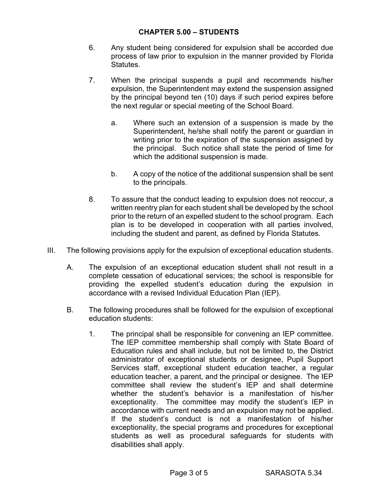- 6. Any student being considered for expulsion shall be accorded due process of law prior to expulsion in the manner provided by Florida Statutes.
- 7. When the principal suspends a pupil and recommends his/her expulsion, the Superintendent may extend the suspension assigned by the principal beyond ten (10) days if such period expires before the next regular or special meeting of the School Board.
	- a. Where such an extension of a suspension is made by the Superintendent, he/she shall notify the parent or guardian in writing prior to the expiration of the suspension assigned by the principal. Such notice shall state the period of time for which the additional suspension is made.
	- b. A copy of the notice of the additional suspension shall be sent to the principals.
- 8. To assure that the conduct leading to expulsion does not reoccur, a written reentry plan for each student shall be developed by the school prior to the return of an expelled student to the school program. Each plan is to be developed in cooperation with all parties involved, including the student and parent, as defined by Florida Statutes.
- III. The following provisions apply for the expulsion of exceptional education students.
	- A. The expulsion of an exceptional education student shall not result in a complete cessation of educational services; the school is responsible for providing the expelled student's education during the expulsion in accordance with a revised Individual Education Plan (IEP).
	- B. The following procedures shall be followed for the expulsion of exceptional education students:
		- 1. The principal shall be responsible for convening an IEP committee. The IEP committee membership shall comply with State Board of Education rules and shall include, but not be limited to, the District administrator of exceptional students or designee, Pupil Support Services staff, exceptional student education teacher, a regular education teacher, a parent, and the principal or designee. The IEP committee shall review the student's IEP and shall determine whether the student's behavior is a manifestation of his/her exceptionality. The committee may modify the student's IEP in accordance with current needs and an expulsion may not be applied. If the student's conduct is not a manifestation of his/her exceptionality, the special programs and procedures for exceptional students as well as procedural safeguards for students with disabilities shall apply.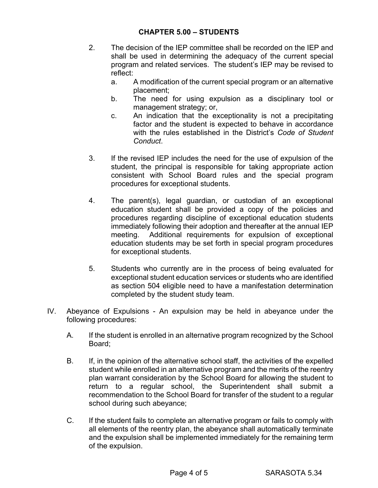- 2. The decision of the IEP committee shall be recorded on the IEP and shall be used in determining the adequacy of the current special program and related services. The student's IEP may be revised to reflect:
	- a. A modification of the current special program or an alternative placement;
	- b. The need for using expulsion as a disciplinary tool or management strategy; or,
	- c. An indication that the exceptionality is not a precipitating factor and the student is expected to behave in accordance with the rules established in the District's *Code of Student Conduct*.
- 3. If the revised IEP includes the need for the use of expulsion of the student, the principal is responsible for taking appropriate action consistent with School Board rules and the special program procedures for exceptional students.
- 4. The parent(s), legal guardian, or custodian of an exceptional education student shall be provided a copy of the policies and procedures regarding discipline of exceptional education students immediately following their adoption and thereafter at the annual IEP meeting. Additional requirements for expulsion of exceptional education students may be set forth in special program procedures for exceptional students.
- 5. Students who currently are in the process of being evaluated for exceptional student education services or students who are identified as section 504 eligible need to have a manifestation determination completed by the student study team.
- IV. Abeyance of Expulsions An expulsion may be held in abeyance under the following procedures:
	- A. If the student is enrolled in an alternative program recognized by the School Board;
	- B. If, in the opinion of the alternative school staff, the activities of the expelled student while enrolled in an alternative program and the merits of the reentry plan warrant consideration by the School Board for allowing the student to return to a regular school, the Superintendent shall submit a recommendation to the School Board for transfer of the student to a regular school during such abeyance;
	- C. If the student fails to complete an alternative program or fails to comply with all elements of the reentry plan, the abeyance shall automatically terminate and the expulsion shall be implemented immediately for the remaining term of the expulsion.